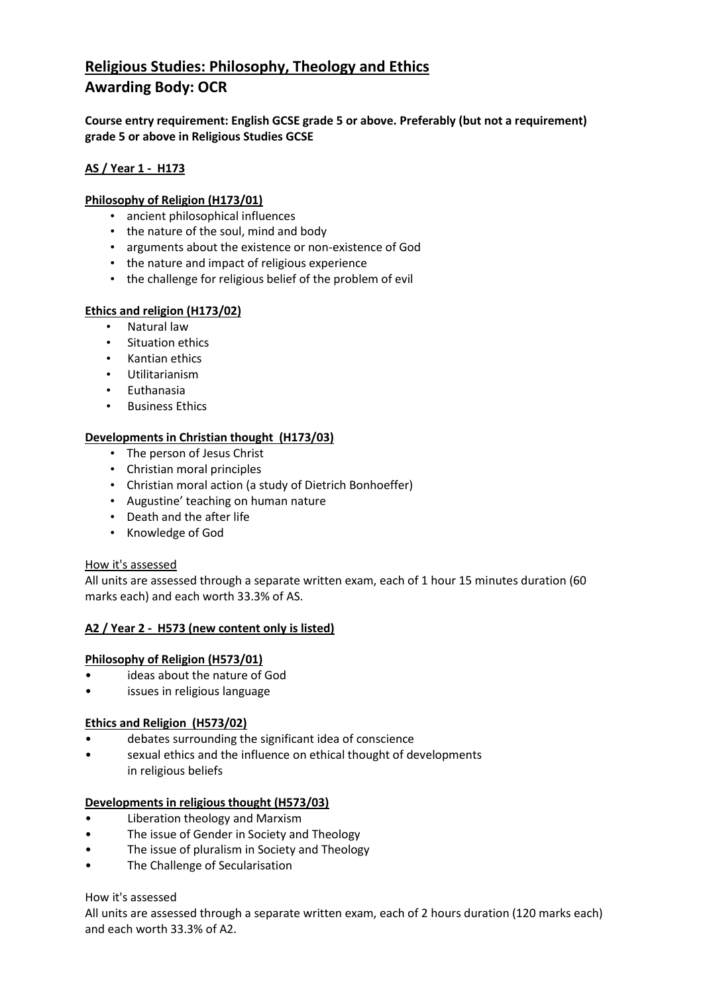# **Religious Studies: Philosophy, Theology and Ethics Awarding Body: OCR**

# **Course entry requirement: English GCSE grade 5 or above. Preferably (but not a requirement) grade 5 or above in Religious Studies GCSE**

# **AS / Year 1 - H173**

## **Philosophy of Religion (H173/01)**

- ancient philosophical influences
- the nature of the soul, mind and body
- arguments about the existence or non-existence of God
- the nature and impact of religious experience
- the challenge for religious belief of the problem of evil

### **Ethics and religion (H173/02)**

- Natural law
- Situation ethics
- Kantian ethics
- Utilitarianism
- Euthanasia
- Business Ethics

### **Developments in Christian thought (H173/03)**

- The person of Jesus Christ
- Christian moral principles
- Christian moral action (a study of Dietrich Bonhoeffer)
- Augustine' teaching on human nature
- Death and the after life
- Knowledge of God

#### How it's assessed

All units are assessed through a separate written exam, each of 1 hour 15 minutes duration (60 marks each) and each worth 33.3% of AS.

## **A2 / Year 2 - H573 (new content only is listed)**

#### **Philosophy of Religion (H573/01)**

- ideas about the nature of God
- issues in religious language

#### **Ethics and Religion (H573/02)**

- debates surrounding the significant idea of conscience
- sexual ethics and the influence on ethical thought of developments in religious beliefs

## **Developments in religious thought (H573/03)**

- Liberation theology and Marxism
- The issue of Gender in Society and Theology
- The issue of pluralism in Society and Theology
- The Challenge of Secularisation

#### How it's assessed

All units are assessed through a separate written exam, each of 2 hours duration (120 marks each) and each worth 33.3% of A2.